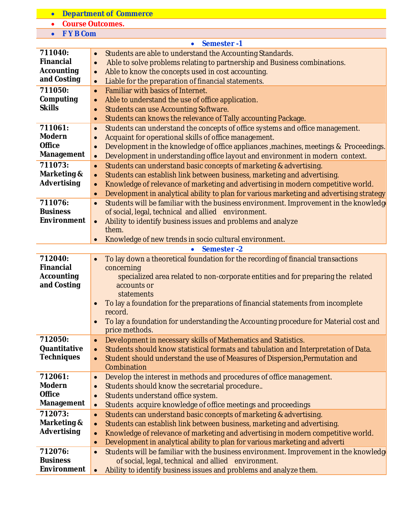| $\bullet$                   | <b>Department of Commerce</b>                                                                                       |
|-----------------------------|---------------------------------------------------------------------------------------------------------------------|
|                             | <b>Course Outcomes.</b>                                                                                             |
| <b>FYB Com</b><br>$\bullet$ |                                                                                                                     |
|                             | Semester-1<br>$\bullet$                                                                                             |
| 711040:                     | Students are able to understand the Accounting Standards.<br>$\bullet$                                              |
| <b>Financial</b>            | Able to solve problems relating to partnership and Business combinations.<br>$\bullet$                              |
| <b>Accounting</b>           | Able to know the concepts used in cost accounting.<br>$\bullet$                                                     |
| and Costing                 | Liable for the preparation of financial statements.<br>$\bullet$                                                    |
| 711050:                     | Familiar with basics of Internet.<br>$\bullet$                                                                      |
| Computing                   | Able to understand the use of office application.<br>$\bullet$                                                      |
| <b>Skills</b>               | <b>Students can use Accounting Software.</b><br>$\bullet$                                                           |
|                             | Students can knows the relevance of Tally accounting Package.<br>$\bullet$                                          |
| 711061:                     | Students can understand the concepts of office systems and office management.<br>$\bullet$                          |
| <b>Modern</b>               | Acquaint for operational skills of office management.                                                               |
| <b>Office</b>               | Development in the knowledge of office appliances, machines, meetings & Proceedings.<br>$\bullet$                   |
| Management                  | Development in understanding office layout and environment in modern context.<br>$\bullet$                          |
| 711073:                     | Students can understand basic concepts of marketing & advertising.<br>$\bullet$                                     |
| Marketing &                 | Students can establish link between business, marketing and advertising.<br>$\bullet$                               |
| <b>Advertising</b>          | Knowledge of relevance of marketing and advertising in modern competitive world.<br>$\bullet$                       |
|                             | Development in analytical ability to plan for various marketing and advertising strategy<br>$\bullet$               |
| 711076:                     | Students will be familiar with the business environment. Improvement in the knowledge<br>$\bullet$                  |
| <b>Business</b>             | of social, legal, technical and allied environment.                                                                 |
| <b>Environment</b>          | Ability to identify business issues and problems and analyze<br>$\bullet$                                           |
|                             | them.                                                                                                               |
|                             | Knowledge of new trends in socio cultural environment.                                                              |
|                             | Semester-2<br>$\bullet$                                                                                             |
| 712040:                     | To lay down a theoretical foundation for the recording of financial transactions                                    |
| <b>Financial</b>            | concerning                                                                                                          |
| <b>Accounting</b>           | specialized area related to non-corporate entities and for preparing the related                                    |
| and Costing                 | accounts or                                                                                                         |
|                             | statements                                                                                                          |
|                             | To lay a foundation for the preparations of financial statements from incomplete                                    |
|                             | record.                                                                                                             |
|                             | To lay a foundation for understanding the Accounting procedure for Material cost and<br>$\bullet$<br>price methods. |
| 712050:                     | Development in necessary skills of Mathematics and Statistics.<br>$\bullet$                                         |
| Quantitative                | Students should know statistical formats and tabulation and Interpretation of Data.<br>$\bullet$                    |
| <b>Techniques</b>           | Student should understand the use of Measures of Dispersion, Permutation and<br>$\bullet$                           |
|                             | Combination                                                                                                         |
| 712061:                     | Develop the interest in methods and procedures of office management.<br>$\bullet$                                   |
| <b>Modern</b>               | Students should know the secretarial procedure<br>$\bullet$                                                         |
| <b>Office</b>               | Students understand office system.<br>$\bullet$                                                                     |
| <b>Management</b>           | Students acquire knowledge of office meetings and proceedings<br>$\bullet$                                          |
| 712073:                     | Students can understand basic concepts of marketing & advertising.<br>$\bullet$                                     |
| Marketing &                 | Students can establish link between business, marketing and advertising.<br>$\bullet$                               |
| Advertising                 | Knowledge of relevance of marketing and advertising in modern competitive world.<br>$\bullet$                       |
|                             | Development in analytical ability to plan for various marketing and adverti<br>$\bullet$                            |
| 712076:                     | Students will be familiar with the business environment. Improvement in the knowledg                                |
| <b>Business</b>             | of social, legal, technical and allied environment.                                                                 |
| <b>Environment</b>          | Ability to identify business issues and problems and analyze them.<br>$\bullet$                                     |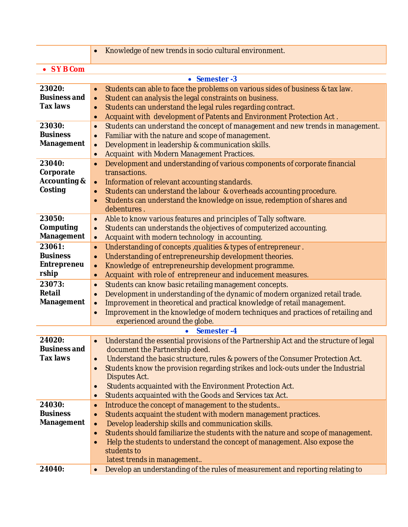|                                                           | Knowledge of new trends in socio cultural environment.<br>$\bullet$                                                                                                                                                                                                                                                                                                                                                                                             |
|-----------------------------------------------------------|-----------------------------------------------------------------------------------------------------------------------------------------------------------------------------------------------------------------------------------------------------------------------------------------------------------------------------------------------------------------------------------------------------------------------------------------------------------------|
| • SYBCom                                                  |                                                                                                                                                                                                                                                                                                                                                                                                                                                                 |
|                                                           | • Semester -3                                                                                                                                                                                                                                                                                                                                                                                                                                                   |
| 23020:<br><b>Business and</b><br><b>Tax laws</b>          | Students can able to face the problems on various sides of business & tax law.<br>$\bullet$<br>Student can analysis the legal constraints on business.<br>$\bullet$<br>Students can understand the legal rules regarding contract.<br>$\bullet$<br>Acquaint with development of Patents and Environment Protection Act.<br>$\bullet$                                                                                                                            |
| 23030:<br><b>Business</b><br><b>Management</b>            | Students can understand the concept of management and new trends in management.<br>$\bullet$<br>Familiar with the nature and scope of management.<br>$\bullet$<br>Development in leadership & communication skills.<br>$\bullet$<br>Acquaint with Modern Management Practices.<br>$\bullet$                                                                                                                                                                     |
| 23040:<br>Corporate<br><b>Accounting &amp;</b><br>Costing | Development and understanding of various components of corporate financial<br>$\bullet$<br>transactions.<br>Information of relevant accounting standards.<br>$\bullet$<br>Students can understand the labour & overheads accounting procedure.<br>$\bullet$<br>Students can understand the knowledge on issue, redemption of shares and<br>$\bullet$<br>debentures.                                                                                             |
| 23050:<br>Computing<br>Management                         | Able to know various features and principles of Tally software.<br>$\bullet$<br>Students can understands the objectives of computerized accounting.<br>$\bullet$<br>Acquaint with modern technology in accounting.<br>$\bullet$                                                                                                                                                                                                                                 |
| 23061:<br><b>Business</b><br><b>Entrepreneu</b><br>rship  | Understanding of concepts, qualities & types of entrepreneur.<br>$\bullet$<br>Understanding of entrepreneurship development theories.<br>$\bullet$<br>Knowledge of entrepreneurship development programme.<br>$\bullet$<br>Acquaint with role of entrepreneur and inducement measures.<br>$\bullet$                                                                                                                                                             |
| 23073:<br><b>Retail</b><br><b>Management</b>              | Students can know basic retailing management concepts.<br>$\bullet$<br>Development in understanding of the dynamic of modern organized retail trade.<br>$\bullet$<br>Improvement in theoretical and practical knowledge of retail management.<br>$\bullet$<br>Improvement in the knowledge of modern techniques and practices of retailing and<br>$\bullet$<br>experienced around the globe.                                                                    |
|                                                           | Semester-4                                                                                                                                                                                                                                                                                                                                                                                                                                                      |
| 24020:<br><b>Business and</b><br><b>Tax laws</b>          | Understand the essential provisions of the Partnership Act and the structure of legal<br>document the Partnership deed.<br>Understand the basic structure, rules & powers of the Consumer Protection Act.<br>$\bullet$<br>Students know the provision regarding strikes and lock-outs under the Industrial<br>$\bullet$<br>Disputes Act.                                                                                                                        |
|                                                           | Students acquainted with the Environment Protection Act.<br>$\bullet$<br>Students acquainted with the Goods and Services tax Act.<br>$\bullet$                                                                                                                                                                                                                                                                                                                  |
| 24030:<br><b>Business</b><br><b>Management</b>            | Introduce the concept of management to the students<br>$\bullet$<br>Students acquaint the student with modern management practices.<br>$\bullet$<br>Develop leadership skills and communication skills.<br>$\bullet$<br>Students should familiarize the students with the nature and scope of management.<br>$\bullet$<br>Help the students to understand the concept of management. Also expose the<br>$\bullet$<br>students to<br>latest trends in management |
| 24040:                                                    | Develop an understanding of the rules of measurement and reporting relating to<br>$\bullet$                                                                                                                                                                                                                                                                                                                                                                     |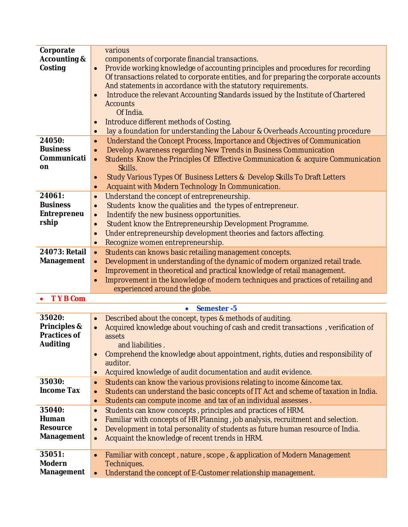| Corporate                                      | various                                                                                                          |
|------------------------------------------------|------------------------------------------------------------------------------------------------------------------|
| <b>Accounting &amp;</b>                        | components of corporate financial transactions.                                                                  |
| Costing                                        | Provide working knowledge of accounting principles and procedures for recording<br>$\bullet$                     |
|                                                | Of transactions related to corporate entities, and for preparing the corporate accounts                          |
|                                                | And statements in accordance with the statutory requirements.                                                    |
|                                                | Introduce the relevant Accounting Standards issued by the Institute of Chartered<br>$\bullet$<br><b>Accounts</b> |
|                                                | Of India.                                                                                                        |
|                                                | Introduce different methods of Costing.                                                                          |
|                                                | $\bullet$<br>lay a foundation for understanding the Labour & Overheads Accounting procedure<br>$\bullet$         |
| 24050:                                         | Understand the Concept Process, Importance and Objectives of Communication<br>$\bullet$                          |
| <b>Business</b>                                | Develop Awareness regarding New Trends in Business Communication<br>$\bullet$                                    |
| Communicati                                    | Students Know the Principles Of Effective Communication & acquire Communication<br>$\bullet$                     |
| on                                             | Skills.                                                                                                          |
|                                                | Study Various Types Of Business Letters & Develop Skills To Draft Letters<br>$\bullet$                           |
|                                                | Acquaint with Modern Technology In Communication.<br>$\bullet$                                                   |
| 24061:                                         | Understand the concept of entrepreneurship.<br>$\bullet$                                                         |
| <b>Business</b>                                | Students know the qualities and the types of entrepreneur.<br>$\bullet$                                          |
| <b>Entrepreneu</b>                             | Indentify the new business opportunities.<br>$\bullet$                                                           |
| rship                                          | Student know the Entrepreneurship Development Programme.<br>$\bullet$                                            |
|                                                | Under entrepreneurship development theories and factors affecting.<br>$\bullet$                                  |
|                                                | Recognize women entrepreneurship.<br>$\bullet$                                                                   |
| 24073: Retail                                  | Students can knows basic retailing management concepts.<br>$\bullet$                                             |
| <b>Management</b>                              | Development in understanding of the dynamic of modern organized retail trade.<br>$\bullet$                       |
|                                                | Improvement in theoretical and practical knowledge of retail management.<br>$\bullet$                            |
|                                                | Improvement in the knowledge of modern techniques and practices of retailing and                                 |
|                                                | experienced around the globe.                                                                                    |
| <b>TYB Com</b>                                 |                                                                                                                  |
|                                                | Semester-5<br>$\bullet$                                                                                          |
| 35020:                                         | Described about the concept, types & methods of auditing.<br>$\bullet$                                           |
| <b>Principles &amp;</b><br><b>Practices of</b> | Acquired knowledge about vouching of cash and credit transactions, verification of<br>$\bullet$                  |
| <b>Auditing</b>                                | assets<br>and liabilities.                                                                                       |
|                                                | Comprehend the knowledge about appointment, rights, duties and responsibility of                                 |
|                                                | auditor.                                                                                                         |
|                                                | Acquired knowledge of audit documentation and audit evidence.<br>$\bullet$                                       |
| 35030:                                         | Students can know the various provisions relating to income & income tax.<br>$\bullet$                           |
| <b>Income Tax</b>                              | Students can understand the basic concepts of IT Act and scheme of taxation in India.<br>$\bullet$               |
|                                                | Students can compute income and tax of an individual assesses.<br>$\bullet$                                      |
| 35040:                                         | Students can know concepts, principles and practices of HRM.<br>$\bullet$                                        |
| Human                                          | Familiar with concepts of HR Planning, job analysis, recruitment and selection.<br>$\bullet$                     |
| <b>Resource</b>                                | Development in total personality of students as future human resource of India.<br>$\bullet$                     |
| <b>Management</b>                              | Acquaint the knowledge of recent trends in HRM.<br>$\bullet$                                                     |
|                                                |                                                                                                                  |
| 35051:                                         | Familiar with concept, nature, scope, & application of Modern Management<br>$\bullet$                            |
| <b>Modern</b>                                  | Techniques.                                                                                                      |
| <b>Management</b>                              | Understand the concept of E-Customer relationship management.<br>$\bullet$                                       |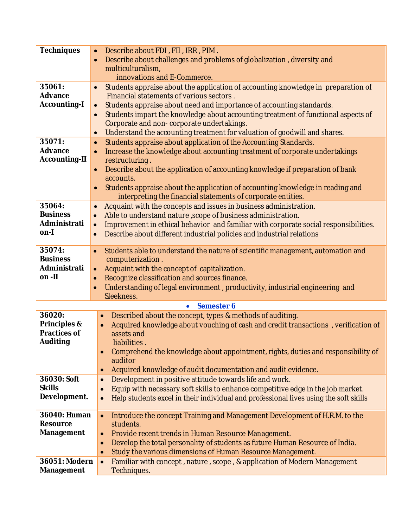| <b>Techniques</b>      | Describe about FDI, FII, IRR, PIM.<br>$\bullet$                                                            |
|------------------------|------------------------------------------------------------------------------------------------------------|
|                        | Describe about challenges and problems of globalization, diversity and<br>$\bullet$                        |
|                        | multiculturalism,                                                                                          |
|                        | innovations and E-Commerce.                                                                                |
| 35061:                 | Students appraise about the application of accounting knowledge in preparation of<br>$\bullet$             |
| <b>Advance</b>         | Financial statements of various sectors.                                                                   |
| <b>Accounting-I</b>    | Students appraise about need and importance of accounting standards.<br>$\bullet$                          |
|                        | Students impart the knowledge about accounting treatment of functional aspects of<br>$\bullet$             |
|                        | Corporate and non-corporate undertakings.                                                                  |
| 35071:                 | Understand the accounting treatment for valuation of goodwill and shares.<br>$\bullet$                     |
| Advance                | Students appraise about application of the Accounting Standards.<br>$\bullet$                              |
| <b>Accounting-II</b>   | Increase the knowledge about accounting treatment of corporate undertakings<br>$\bullet$<br>restructuring. |
|                        | Describe about the application of accounting knowledge if preparation of bank<br>$\bullet$                 |
|                        | accounts.                                                                                                  |
|                        | Students appraise about the application of accounting knowledge in reading and<br>$\bullet$                |
|                        | interpreting the financial statements of corporate entities.                                               |
| 35064:                 | Acquaint with the concepts and issues in business administration.<br>$\bullet$                             |
| <b>Business</b>        | Able to understand nature, scope of business administration.<br>$\bullet$                                  |
| Administrati           | Improvement in ethical behavior and familiar with corporate social responsibilities.<br>$\bullet$          |
| on-l                   | Describe about different industrial policies and industrial relations<br>$\bullet$                         |
|                        |                                                                                                            |
| 35074:                 | Students able to understand the nature of scientific management, automation and<br>$\bullet$               |
| <b>Business</b>        | computerization.                                                                                           |
| Administrati<br>on -II | Acquaint with the concept of capitalization.<br>$\bullet$                                                  |
|                        | Recognize classification and sources finance.<br>$\bullet$                                                 |
|                        | Understanding of legal environment, productivity, industrial engineering and<br>$\bullet$<br>Sleekness.    |
|                        | Semester 6<br>$\bullet$                                                                                    |
| 36020:                 | Described about the concept, types & methods of auditing.<br>$\bullet$                                     |
| Principles &           | Acquired knowledge about vouching of cash and credit transactions, verification of<br>$\bullet$            |
| <b>Practices of</b>    | assets and                                                                                                 |
| <b>Auditing</b>        | liabilities.                                                                                               |
|                        | Comprehend the knowledge about appointment, rights, duties and responsibility of                           |
|                        | auditor                                                                                                    |
|                        | Acquired knowledge of audit documentation and audit evidence.<br>$\bullet$                                 |
| 36030: Soft            | Development in positive attitude towards life and work.<br>$\bullet$                                       |
| <b>Skills</b>          | Equip with necessary soft skills to enhance competitive edge in the job market.                            |
| Development.           | Help students excel in their individual and professional lives using the soft skills<br>$\bullet$          |
|                        |                                                                                                            |
| 36040: Human           | Introduce the concept Training and Management Development of H.R.M. to the<br>$\bullet$                    |
| <b>Resource</b>        | students.                                                                                                  |
| <b>Management</b>      | Provide recent trends in Human Resource Management.<br>$\bullet$                                           |
|                        | Develop the total personality of students as future Human Resource of India.<br>$\bullet$                  |
|                        | Study the various dimensions of Human Resource Management.<br>$\bullet$                                    |
| 36051: Modern          | Familiar with concept, nature, scope, & application of Modern Management<br>$\bullet$                      |
| Management             | Techniques.                                                                                                |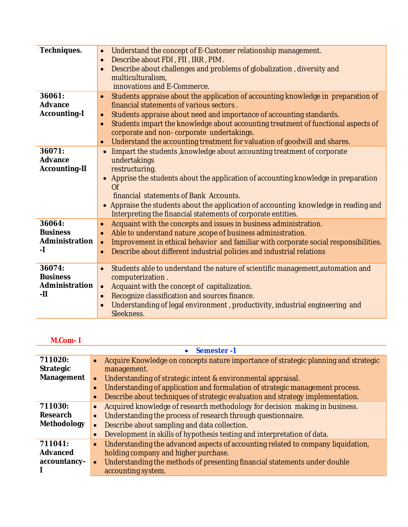| Techniques.                                        | Understand the concept of E-Customer relationship management.<br>$\bullet$<br>Describe about FDI, FII, IRR, PIM.<br>$\bullet$<br>Describe about challenges and problems of globalization, diversity and<br>multiculturalism,<br>innovations and E-Commerce.                                                                                                                                                                                                              |
|----------------------------------------------------|--------------------------------------------------------------------------------------------------------------------------------------------------------------------------------------------------------------------------------------------------------------------------------------------------------------------------------------------------------------------------------------------------------------------------------------------------------------------------|
| 36061:<br><b>Advance</b><br><b>Accounting-I</b>    | Students appraise about the application of accounting knowledge in preparation of<br>$\bullet$<br>financial statements of various sectors.<br>Students appraise about need and importance of accounting standards.<br>$\bullet$<br>Students impart the knowledge about accounting treatment of functional aspects of<br>$\bullet$<br>corporate and non-corporate undertakings.<br>Understand the accounting treatment for valuation of goodwill and shares.<br>$\bullet$ |
| 36071:<br><b>Advance</b><br><b>Accounting-II</b>   | limpart the students, knowledge about accounting treatment of corporate<br>$\bullet$<br>undertakings<br>restructuring.<br>Apprise the students about the application of accounting knowledge in preparation<br>$\bullet$<br>Of<br>financial statements of Bank Accounts.<br>• Appraise the students about the application of accounting knowledge in reading and<br>Interpreting the financial statements of corporate entities.                                         |
| 36064:<br><b>Business</b><br>Administration<br>-1  | Acquaint with the concepts and issues in business administration.<br>$\bullet$<br>Able to understand nature, scope of business administration.<br>$\bullet$<br>Improvement in ethical behavior and familiar with corporate social responsibilities.<br>$\bullet$<br>Describe about different industrial policies and industrial relations<br>$\bullet$                                                                                                                   |
| 36074:<br><b>Business</b><br>Administration<br>-11 | Students able to understand the nature of scientific management, automation and<br>$\bullet$<br>computerization.<br>Acquaint with the concept of capitalization.<br>$\bullet$<br>Recognize classification and sources finance.<br>$\bullet$<br>Understanding of legal environment, productivity, industrial engineering and<br>Sleekness.                                                                                                                                |

## **M.Com- I**

| Semester-1       |                                                                                                  |
|------------------|--------------------------------------------------------------------------------------------------|
| 711020:          | Acquire Knowledge on concepts nature importance of strategic planning and strategic<br>$\bullet$ |
| <b>Strategic</b> | management.                                                                                      |
| Management       | Understanding of strategic intent & environmental appraisal.                                     |
|                  | Understanding of application and formulation of strategic management process.                    |
|                  | Describe about techniques of strategic evaluation and strategy implementation.                   |
| 711030:          | Acquired knowledge of research methodology for decision making in business.                      |
| <b>Research</b>  | Understanding the process of research through questionnaire.                                     |
| Methodology      | Describe about sampling and data collection.                                                     |
|                  | Development in skills of hypothesis testing and interpretation of data.                          |
| 711041:          | Understanding the advanced aspects of accounting related to company liquidation,<br>$\bullet$    |
| <b>Advanced</b>  | holding company and higher purchase.                                                             |
| accountancy-     | Understanding the methods of presenting financial statements under double                        |
|                  | accounting system.                                                                               |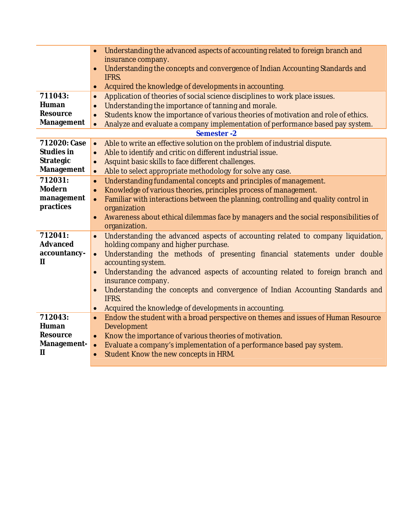|                   | Understanding the advanced aspects of accounting related to foreign branch and<br>insurance company.<br>Understanding the concepts and convergence of Indian Accounting Standards and<br>$\bullet$<br>IFRS. |
|-------------------|-------------------------------------------------------------------------------------------------------------------------------------------------------------------------------------------------------------|
|                   | Acquired the knowledge of developments in accounting.<br>$\bullet$                                                                                                                                          |
| 711043:           | Application of theories of social science disciplines to work place issues.<br>$\bullet$                                                                                                                    |
| Human             | Understanding the importance of tanning and morale.<br>$\bullet$                                                                                                                                            |
| <b>Resource</b>   | Students know the importance of various theories of motivation and role of ethics.<br>$\bullet$                                                                                                             |
| Management        | Analyze and evaluate a company implementation of performance based pay system.<br>$\bullet$                                                                                                                 |
|                   | Semester-2                                                                                                                                                                                                  |
| 712020: Case      | Able to write an effective solution on the problem of industrial dispute.<br>$\bullet$                                                                                                                      |
| <b>Studies in</b> | Able to identify and critic on different industrial issue.<br>$\bullet$                                                                                                                                     |
| <b>Strategic</b>  | Asquint basic skills to face different challenges.<br>$\bullet$                                                                                                                                             |
| Management        | Able to select appropriate methodology for solve any case.<br>$\bullet$                                                                                                                                     |
| 712031:           | Understanding fundamental concepts and principles of management.<br>$\bullet$                                                                                                                               |
| <b>Modern</b>     | Knowledge of various theories, principles process of management.<br>$\bullet$                                                                                                                               |
| management        | Familiar with interactions between the planning, controlling and quality control in<br>$\bullet$                                                                                                            |
| practices         | organization                                                                                                                                                                                                |
|                   | Awareness about ethical dilemmas face by managers and the social responsibilities of<br>$\bullet$<br>organization.                                                                                          |
| 712041:           |                                                                                                                                                                                                             |
| <b>Advanced</b>   | Understanding the advanced aspects of accounting related to company liquidation,<br>$\bullet$<br>holding company and higher purchase.                                                                       |
| accountancy-      | Understanding the methods of presenting financial statements under double<br>$\bullet$                                                                                                                      |
| $\mathbf{H}$      | accounting system.                                                                                                                                                                                          |
|                   | Understanding the advanced aspects of accounting related to foreign branch and<br>$\bullet$                                                                                                                 |
|                   | insurance company.                                                                                                                                                                                          |
|                   | Understanding the concepts and convergence of Indian Accounting Standards and<br>$\bullet$                                                                                                                  |
|                   | IFRS.                                                                                                                                                                                                       |
|                   | Acquired the knowledge of developments in accounting.<br>$\bullet$                                                                                                                                          |
| 712043:           | Endow the student with a broad perspective on themes and issues of Human Resource<br>$\bullet$                                                                                                              |
| Human             | Development                                                                                                                                                                                                 |
| <b>Resource</b>   | Know the importance of various theories of motivation.<br>$\bullet$                                                                                                                                         |
| Management-       | Evaluate a company's implementation of a performance based pay system.<br>$\bullet$                                                                                                                         |
| $\mathbf{H}$      | Student Know the new concepts in HRM.<br>$\bullet$                                                                                                                                                          |
|                   |                                                                                                                                                                                                             |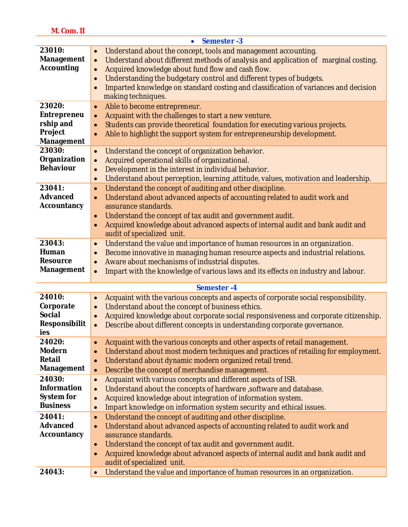| ı<br>ı<br>٠ |
|-------------|
|-------------|

|                                                                           | Semester-3<br>$\bullet$                                                                                                                                                                                                                                                                                                                                                                                                                                         |
|---------------------------------------------------------------------------|-----------------------------------------------------------------------------------------------------------------------------------------------------------------------------------------------------------------------------------------------------------------------------------------------------------------------------------------------------------------------------------------------------------------------------------------------------------------|
| 23010:<br><b>Management</b><br><b>Accounting</b>                          | Understand about the concept, tools and management accounting.<br>$\bullet$<br>Understand about different methods of analysis and application of marginal costing.<br>$\bullet$<br>Acquired knowledge about fund flow and cash flow.<br>$\bullet$<br>Understanding the budgetary control and different types of budgets.<br>$\bullet$<br>Imparted knowledge on standard costing and classification of variances and decision<br>$\bullet$<br>making techniques. |
| 23020:<br><b>Entrepreneu</b><br>rship and<br>Project<br><b>Management</b> | Able to become entrepreneur.<br>$\bullet$<br>Acquaint with the challenges to start a new venture.<br>$\bullet$<br>Students can provide theoretical foundation for executing various projects.<br>$\bullet$<br>Able to highlight the support system for entrepreneurship development.<br>$\bullet$                                                                                                                                                               |
| 23030:<br>Organization<br><b>Behaviour</b>                                | Understand the concept of organization behavior.<br>$\bullet$<br>Acquired operational skills of organizational.<br>$\bullet$<br>Development in the interest in individual behavior.<br>$\bullet$<br>Understand about perception, learning, attitude, values, motivation and leadership.<br>$\bullet$                                                                                                                                                            |
| 23041:<br><b>Advanced</b><br>Accountancy                                  | Understand the concept of auditing and other discipline.<br>$\bullet$<br>Understand about advanced aspects of accounting related to audit work and<br>$\bullet$<br>assurance standards.<br>Understand the concept of tax audit and government audit.<br>$\bullet$<br>Acquired knowledge about advanced aspects of internal audit and bank audit and<br>$\bullet$<br>audit of specialized unit.                                                                  |
| 23043:<br>Human<br><b>Resource</b><br><b>Management</b>                   | Understand the value and importance of human resources in an organization.<br>$\bullet$<br>Become innovative in managing human resource aspects and industrial relations.<br>$\bullet$<br>Aware about mechanisms of industrial disputes.<br>$\bullet$<br>Impart with the knowledge of various laws and its effects on industry and labour.<br>$\bullet$                                                                                                         |
|                                                                           | <b>Semester-4</b>                                                                                                                                                                                                                                                                                                                                                                                                                                               |
| 24010:<br>Corporate<br><b>Social</b><br>Responsibilit<br>ies              | Acquaint with the various concepts and aspects of corporate social responsibility.<br>$\bullet$<br>Understand about the concept of business ethics.<br>$\bullet$<br>Acquired knowledge about corporate social responsiveness and corporate citizenship.<br>$\bullet$<br>Describe about different concepts in understanding corporate governance.<br>$\bullet$                                                                                                   |
| 24020:<br><b>Modern</b><br><b>Retail</b><br><b>Management</b>             | Acquaint with the various concepts and other aspects of retail management.<br>$\bullet$<br>Understand about most modern techniques and practices of retailing for employment.<br>$\bullet$<br>Understand about dynamic modern organized retail trend.<br>$\bullet$<br>Describe the concept of merchandise management.<br>$\bullet$                                                                                                                              |
| 24030:<br><b>Information</b><br>System for<br><b>Business</b>             | Acquaint with various concepts and different aspects of ISB.<br>$\bullet$<br>Understand about the concepts of hardware , software and database.<br>$\bullet$<br>Acquired knowledge about integration of information system.<br>$\bullet$<br>Impart knowledge on information system security and ethical issues.<br>$\bullet$                                                                                                                                    |
| 24041:<br><b>Advanced</b><br>Accountancy                                  | Understand the concept of auditing and other discipline.<br>$\bullet$<br>Understand about advanced aspects of accounting related to audit work and<br>$\bullet$<br>assurance standards.<br>Understand the concept of tax audit and government audit.<br>$\bullet$<br>Acquired knowledge about advanced aspects of internal audit and bank audit and<br>$\bullet$<br>audit of specialized unit.                                                                  |
| 24043:                                                                    | Understand the value and importance of human resources in an organization.<br>$\bullet$                                                                                                                                                                                                                                                                                                                                                                         |